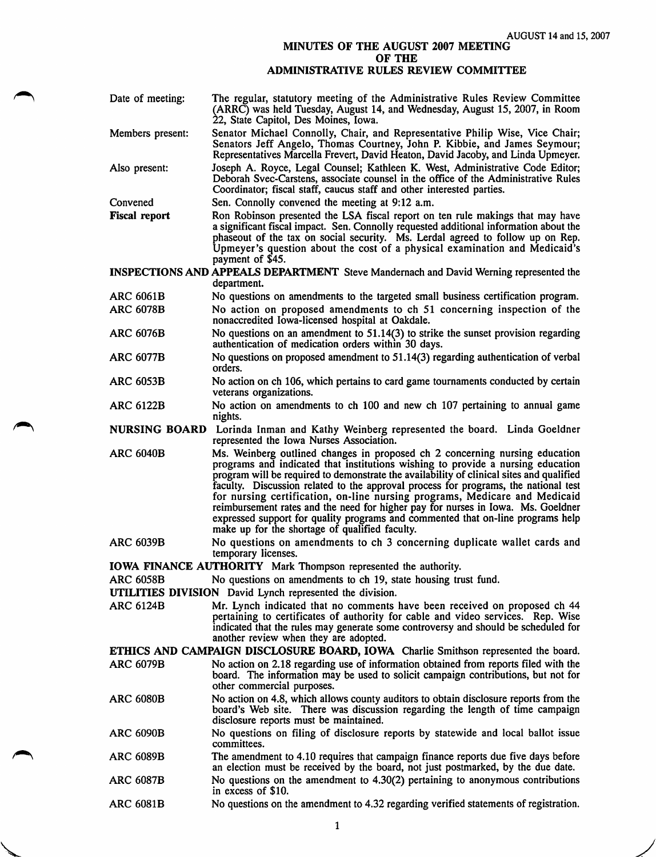AUGUST 14 and 15, 2007

## MINUTES OF THE AUGUST 2007 MEETING OF THE

## ADMINISTRATIVE RULES REVIEW COMMITTEE

| Date of meeting:                                                | The regular, statutory meeting of the Administrative Rules Review Committee<br>(ARRC) was held Tuesday, August 14, and Wednesday, August 15, 2007, in Room<br>22, State Capitol, Des Moines, Iowa.                                                                                                                                                                                                                                                                                                                                                                                                                                                       |  |
|-----------------------------------------------------------------|----------------------------------------------------------------------------------------------------------------------------------------------------------------------------------------------------------------------------------------------------------------------------------------------------------------------------------------------------------------------------------------------------------------------------------------------------------------------------------------------------------------------------------------------------------------------------------------------------------------------------------------------------------|--|
| Members present:                                                | Senator Michael Connolly, Chair, and Representative Philip Wise, Vice Chair;<br>Senators Jeff Angelo, Thomas Courtney, John P. Kibbie, and James Seymour;<br>Representatives Marcella Frevert, David Heaton, David Jacoby, and Linda Upmeyer.                                                                                                                                                                                                                                                                                                                                                                                                            |  |
| Also present:                                                   | Joseph A. Royce, Legal Counsel; Kathleen K. West, Administrative Code Editor;<br>Deborah Svec-Carstens, associate counsel in the office of the Administrative Rules<br>Coordinator; fiscal staff, caucus staff and other interested parties.                                                                                                                                                                                                                                                                                                                                                                                                             |  |
| Convened                                                        | Sen. Connolly convened the meeting at 9:12 a.m.                                                                                                                                                                                                                                                                                                                                                                                                                                                                                                                                                                                                          |  |
| <b>Fiscal report</b>                                            | Ron Robinson presented the LSA fiscal report on ten rule makings that may have<br>a significant fiscal impact. Sen. Connolly requested additional information about the<br>phaseout of the tax on social security. Ms. Lerdal agreed to follow up on Rep.<br>Upmeyer's question about the cost of a physical examination and Medicaid's<br>payment of \$45.                                                                                                                                                                                                                                                                                              |  |
|                                                                 | INSPECTIONS AND APPEALS DEPARTMENT Steve Mandernach and David Werning represented the<br>department.                                                                                                                                                                                                                                                                                                                                                                                                                                                                                                                                                     |  |
| <b>ARC 6061B</b>                                                | No questions on amendments to the targeted small business certification program.                                                                                                                                                                                                                                                                                                                                                                                                                                                                                                                                                                         |  |
| <b>ARC 6078B</b>                                                | No action on proposed amendments to ch 51 concerning inspection of the<br>nonaccredited Iowa-licensed hospital at Oakdale.                                                                                                                                                                                                                                                                                                                                                                                                                                                                                                                               |  |
| <b>ARC 6076B</b>                                                | No questions on an amendment to $51.14(3)$ to strike the sunset provision regarding<br>authentication of medication orders within 30 days.                                                                                                                                                                                                                                                                                                                                                                                                                                                                                                               |  |
| <b>ARC 6077B</b>                                                | No questions on proposed amendment to 51.14(3) regarding authentication of verbal<br>orders.                                                                                                                                                                                                                                                                                                                                                                                                                                                                                                                                                             |  |
| <b>ARC 6053B</b>                                                | No action on ch 106, which pertains to card game tournaments conducted by certain<br>veterans organizations.                                                                                                                                                                                                                                                                                                                                                                                                                                                                                                                                             |  |
| <b>ARC 6122B</b>                                                | No action on amendments to ch 100 and new ch 107 pertaining to annual game<br>nights.                                                                                                                                                                                                                                                                                                                                                                                                                                                                                                                                                                    |  |
|                                                                 | NURSING BOARD Lorinda Inman and Kathy Weinberg represented the board. Linda Goeldner<br>represented the Iowa Nurses Association.                                                                                                                                                                                                                                                                                                                                                                                                                                                                                                                         |  |
| <b>ARC 6040B</b>                                                | Ms. Weinberg outlined changes in proposed ch 2 concerning nursing education<br>programs and indicated that institutions wishing to provide a nursing education<br>program will be required to demonstrate the availability of clinical sites and qualified<br>faculty. Discussion related to the approval process for programs, the national test<br>for nursing certification, on-line nursing programs, Medicare and Medicaid<br>reimbursement rates and the need for higher pay for nurses in Iowa. Ms. Goeldner<br>expressed support for quality programs and commented that on-line programs help<br>make up for the shortage of qualified faculty. |  |
| <b>ARC 6039B</b>                                                | No questions on amendments to ch 3 concerning duplicate wallet cards and<br>temporary licenses.                                                                                                                                                                                                                                                                                                                                                                                                                                                                                                                                                          |  |
|                                                                 | IOWA FINANCE AUTHORITY Mark Thompson represented the authority.                                                                                                                                                                                                                                                                                                                                                                                                                                                                                                                                                                                          |  |
| <b>ARC 6058B</b>                                                | No questions on amendments to ch 19, state housing trust fund.                                                                                                                                                                                                                                                                                                                                                                                                                                                                                                                                                                                           |  |
| <b>UTILITIES DIVISION</b> David Lynch represented the division. |                                                                                                                                                                                                                                                                                                                                                                                                                                                                                                                                                                                                                                                          |  |
| <b>ARC 6124B</b>                                                | Mr. Lynch indicated that no comments have been received on proposed ch 44<br>pertaining to certificates of authority for cable and video services. Rep. Wise<br>indicated that the rules may generate some controversy and should be scheduled for<br>another review when they are adopted.                                                                                                                                                                                                                                                                                                                                                              |  |
|                                                                 | ETHICS AND CAMPAIGN DISCLOSURE BOARD, IOWA Charlie Smithson represented the board.                                                                                                                                                                                                                                                                                                                                                                                                                                                                                                                                                                       |  |
| <b>ARC 6079B</b>                                                | No action on 2.18 regarding use of information obtained from reports filed with the<br>board. The information may be used to solicit campaign contributions, but not for<br>other commercial purposes.                                                                                                                                                                                                                                                                                                                                                                                                                                                   |  |
| <b>ARC 6080B</b>                                                | No action on 4.8, which allows county auditors to obtain disclosure reports from the<br>board's Web site. There was discussion regarding the length of time campaign<br>disclosure reports must be maintained.                                                                                                                                                                                                                                                                                                                                                                                                                                           |  |
| <b>ARC 6090B</b>                                                | No questions on filing of disclosure reports by statewide and local ballot issue<br>committees.                                                                                                                                                                                                                                                                                                                                                                                                                                                                                                                                                          |  |
| <b>ARC 6089B</b>                                                | The amendment to 4.10 requires that campaign finance reports due five days before<br>an election must be received by the board, not just postmarked, by the due date.                                                                                                                                                                                                                                                                                                                                                                                                                                                                                    |  |
| <b>ARC 6087B</b>                                                | No questions on the amendment to $4.30(2)$ pertaining to anonymous contributions<br>in excess of \$10.                                                                                                                                                                                                                                                                                                                                                                                                                                                                                                                                                   |  |
| <b>ARC 6081B</b>                                                | No questions on the amendment to 4.32 regarding verified statements of registration.                                                                                                                                                                                                                                                                                                                                                                                                                                                                                                                                                                     |  |

1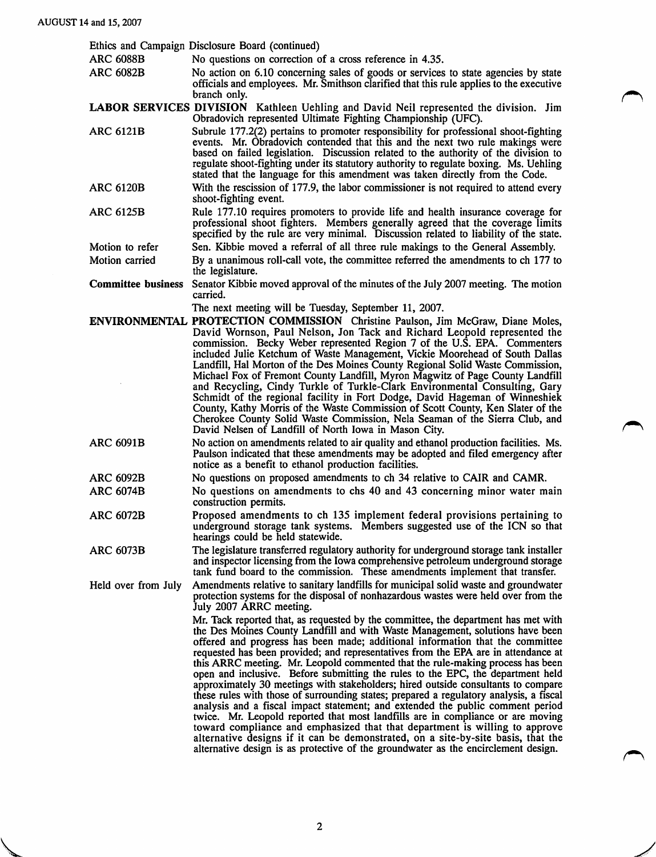|                           | Ethics and Campaign Disclosure Board (continued)                                                                                                                                                                                                                                                                                                                                                                                                                                                                                                                                                                                                                                                                                                                                                                                                                                                                                                                                                                                                                                                                             |
|---------------------------|------------------------------------------------------------------------------------------------------------------------------------------------------------------------------------------------------------------------------------------------------------------------------------------------------------------------------------------------------------------------------------------------------------------------------------------------------------------------------------------------------------------------------------------------------------------------------------------------------------------------------------------------------------------------------------------------------------------------------------------------------------------------------------------------------------------------------------------------------------------------------------------------------------------------------------------------------------------------------------------------------------------------------------------------------------------------------------------------------------------------------|
| <b>ARC 6088B</b>          | No questions on correction of a cross reference in 4.35.                                                                                                                                                                                                                                                                                                                                                                                                                                                                                                                                                                                                                                                                                                                                                                                                                                                                                                                                                                                                                                                                     |
| <b>ARC 6082B</b>          | No action on 6.10 concerning sales of goods or services to state agencies by state<br>officials and employees. Mr. Smithson clarified that this rule applies to the executive<br>branch only.                                                                                                                                                                                                                                                                                                                                                                                                                                                                                                                                                                                                                                                                                                                                                                                                                                                                                                                                |
|                           | LABOR SERVICES DIVISION Kathleen Uehling and David Neil represented the division. Jim<br>Obradovich represented Ultimate Fighting Championship (UFC).                                                                                                                                                                                                                                                                                                                                                                                                                                                                                                                                                                                                                                                                                                                                                                                                                                                                                                                                                                        |
| <b>ARC 6121B</b>          | Subrule 177.2(2) pertains to promoter responsibility for professional shoot-fighting<br>events. Mr. Obradovich contended that this and the next two rule makings were<br>based on failed legislation. Discussion related to the authority of the division to<br>regulate shoot-fighting under its statutory authority to regulate boxing. Ms. Uehling<br>stated that the language for this amendment was taken directly from the Code.                                                                                                                                                                                                                                                                                                                                                                                                                                                                                                                                                                                                                                                                                       |
| <b>ARC 6120B</b>          | With the rescission of 177.9, the labor commissioner is not required to attend every<br>shoot-fighting event.                                                                                                                                                                                                                                                                                                                                                                                                                                                                                                                                                                                                                                                                                                                                                                                                                                                                                                                                                                                                                |
| <b>ARC 6125B</b>          | Rule 177.10 requires promoters to provide life and health insurance coverage for<br>professional shoot fighters. Members generally agreed that the coverage limits<br>specified by the rule are very minimal. Discussion related to liability of the state.                                                                                                                                                                                                                                                                                                                                                                                                                                                                                                                                                                                                                                                                                                                                                                                                                                                                  |
| Motion to refer           | Sen. Kibbie moved a referral of all three rule makings to the General Assembly.                                                                                                                                                                                                                                                                                                                                                                                                                                                                                                                                                                                                                                                                                                                                                                                                                                                                                                                                                                                                                                              |
| Motion carried            | By a unanimous roll-call vote, the committee referred the amendments to ch 177 to<br>the legislature.                                                                                                                                                                                                                                                                                                                                                                                                                                                                                                                                                                                                                                                                                                                                                                                                                                                                                                                                                                                                                        |
| <b>Committee business</b> | Senator Kibbie moved approval of the minutes of the July 2007 meeting. The motion<br>carried.                                                                                                                                                                                                                                                                                                                                                                                                                                                                                                                                                                                                                                                                                                                                                                                                                                                                                                                                                                                                                                |
|                           | The next meeting will be Tuesday, September 11, 2007.<br><b>ENVIRONMENTAL PROTECTION COMMISSION</b> Christine Paulson, Jim McGraw, Diane Moles,                                                                                                                                                                                                                                                                                                                                                                                                                                                                                                                                                                                                                                                                                                                                                                                                                                                                                                                                                                              |
|                           | David Wornson, Paul Nelson, Jon Tack and Richard Leopold represented the<br>commission. Becky Weber represented Region 7 of the U.S. EPA. Commenters<br>included Julie Ketchum of Waste Management, Vickie Moorehead of South Dallas<br>Landfill, Hal Morton of the Des Moines County Regional Solid Waste Commission,<br>Michael Fox of Fremont County Landfill, Myron Magwitz of Page County Landfill<br>and Recycling, Cindy Turkle of Turkle-Clark Environmental Consulting, Gary<br>Schmidt of the regional facility in Fort Dodge, David Hageman of Winneshiek<br>County, Kathy Morris of the Waste Commission of Scott County, Ken Slater of the<br>Cherokee County Solid Waste Commission, Nela Seaman of the Sierra Club, and<br>David Nelsen of Landfill of North Iowa in Mason City.                                                                                                                                                                                                                                                                                                                              |
| <b>ARC 6091B</b>          | No action on amendments related to air quality and ethanol production facilities. Ms.<br>Paulson indicated that these amendments may be adopted and filed emergency after<br>notice as a benefit to ethanol production facilities.                                                                                                                                                                                                                                                                                                                                                                                                                                                                                                                                                                                                                                                                                                                                                                                                                                                                                           |
| <b>ARC 6092B</b>          | No questions on proposed amendments to ch 34 relative to CAIR and CAMR.                                                                                                                                                                                                                                                                                                                                                                                                                                                                                                                                                                                                                                                                                                                                                                                                                                                                                                                                                                                                                                                      |
| <b>ARC 6074B</b>          | No questions on amendments to chs 40 and 43 concerning minor water main<br>construction permits.                                                                                                                                                                                                                                                                                                                                                                                                                                                                                                                                                                                                                                                                                                                                                                                                                                                                                                                                                                                                                             |
| <b>ARC 6072B</b>          | Proposed amendments to ch 135 implement federal provisions pertaining to<br>underground storage tank systems. Members suggested use of the ICN so that<br>hearings could be held statewide.                                                                                                                                                                                                                                                                                                                                                                                                                                                                                                                                                                                                                                                                                                                                                                                                                                                                                                                                  |
| <b>ARC 6073B</b>          | The legislature transferred regulatory authority for underground storage tank installer<br>and inspector licensing from the Iowa comprehensive petroleum underground storage<br>tank fund board to the commission. These amendments implement that transfer.                                                                                                                                                                                                                                                                                                                                                                                                                                                                                                                                                                                                                                                                                                                                                                                                                                                                 |
| Held over from July       | Amendments relative to sanitary landfills for municipal solid waste and groundwater<br>protection systems for the disposal of nonhazardous wastes were held over from the<br>July 2007 ARRC meeting.                                                                                                                                                                                                                                                                                                                                                                                                                                                                                                                                                                                                                                                                                                                                                                                                                                                                                                                         |
|                           | Mr. Tack reported that, as requested by the committee, the department has met with<br>the Des Moines County Landfill and with Waste Management, solutions have been<br>offered and progress has been made; additional information that the committee<br>requested has been provided; and representatives from the EPA are in attendance at<br>this ARRC meeting. Mr. Leopold commented that the rule-making process has been<br>open and inclusive. Before submitting the rules to the EPC, the department held<br>approximately 30 meetings with stakeholders; hired outside consultants to compare<br>these rules with those of surrounding states; prepared a regulatory analysis, a fiscal<br>analysis and a fiscal impact statement; and extended the public comment period<br>twice. Mr. Leopold reported that most landfills are in compliance or are moving<br>toward compliance and emphasized that that department is willing to approve<br>alternative designs if it can be demonstrated, on a site-by-site basis, that the<br>alternative design is as protective of the groundwater as the encirclement design. |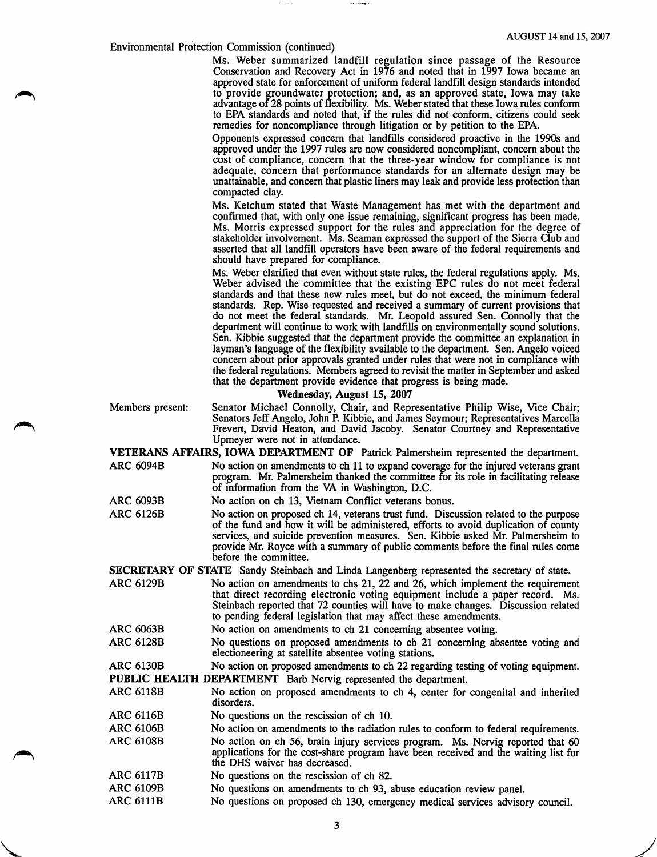## Environmental Protection Commission (continued)

Ms. Weber summarized landfill regulation since passage of the Resource Conservation and Recovery Act in 1976 and noted that in 1997 Iowa became an approved state for enforcement of uniform federal landfill design standards intended to provide groundwater protection; and, as an approved state, Iowa may take advantage of 28 points of flexibility. Ms. Weber stated that these Iowa rules conform to EPA standards and noted that, if the rules did not conform, citizens could seek remedies for noncompliance through litigation or by petition to the EPA.

Opponents expressed concern that landfills considered proactive in the 1990s and approved under the 1997 rules are now considered noncompliant, concern about the cost of compliance, concern that the three-year window for compliance is not adequate, concern that performance standards for an alternate design may be unattainable, and concern that plastic liners may leak and provide less protection than compacted clay.

Ms. Ketchum stated that Waste Management has met with the department and confirmed that, with only one issue remaining, significant progress has been made. Ms. Morris expressed support for the rules and appreciation for the degree of stakeholder involvement. Ms. Seaman expressed the support of the Sierra Club and asserted that all landfill operators have been aware of the federal requirements and should have prepared for compliance.

Ms. Weber clarified that even without state rules, the federal regulations apply. Ms. Weber advised the committee that the existing EPC rules do not meet federal standards and that these new rules meet, but do not exceed, the minimum federal standards. Rep. Wise requested and received a summary of current provisions that do not meet the federal standards. Mr. Leopold assured Sen. Connolly that the department will continue to work with landfills on environmentally sound solutions. Sen. Kibbie suggested that the department provide the committee an explanation in layman's language of the flexibility available to the department. Sen. Angelo voiced concern about prior approvals granted under rules that were not in compliance with the federal regulations. Members agreed to revisit the matter in September and asked that the department provide evidence that progress is being made.

## Wednesday, August 15, 2007

- Members present: Senator Michael Connolly, Chair, and Representative Philip Wise, Vice Chair; Senators Jeff Angelo, John R Kibbie, and James Seymour; Representatives Marcella **Frevert, David Heaton, and David Jacoby.** Senator Courtney and Representative Upmeyer were not in attendance.
	- VETERANS AFFAIRS, IOWA DEPARTMENT OF Patrick Palmersheim represented the department. ARC 6094B No action on amendments to ch 11 to expand coverage for the injured veterans grant program. Mr. Palmersheim thanked the committee for its role in facilitating release of information from the VA in Washington, D.C.

ARC 6093B No action on ch 13, Vietnam Conflict veterans bonus.

ARC 6126B No action on proposed ch 14, veterans trust fund. Discussion related to the purpose of the fund and how it will be administered, efforts to avoid duplication of county services, and suicide prevention measures. Sen. Kibbie asked Mr. Palmersheim to provide Mr. Royce with a summary of public comments before the final rules come before the committee.

SECRETARY OF STATE Sandy Steinbach and Linda Langenberg represented the secretary of state.

- ARC 6129B No action on amendments to chs 21, 22 and 26, which implement the requirement that direct recording electronic voting equipment include a paper record. Ms. Steinbach reported that 72 counties will have to make changes. Discussion related to pending federal legislation that may affect these amendments.
- ARC 6063B No action on amendments to ch 21 concerning absentee voting.
- ARC 6128B No questions on proposed amendments to ch 21 concerning absentee voting and electioneering at satellite absentee voting stations.

ARC 6130B No action on proposed amendments to ch 22 regarding testing of voting equipment. PUBLIC HEALTH DEPARTMENT Barb Nervig represented the department.

- ARC 6118B No action on proposed amendments to ch 4, center for congenital and inherited disorders.
- ARC 6116B No questions on the rescission of ch 10.
- ARC 6106B No action on amendments to the radiation rules to conform to federal requirements. ARC 6108B No action on ch 56, brain injury services program. Ms. Nervig reported that 60 applications for the cost-share program have been received and the waiting list for the DHS waiver has decreased.
- ARC 6117B No questions on the rescission of ch 82.

 $\sqrt{2}$ 

- ARC 6109B No questions on amendments to ch 93, abuse education review panel.
- ARC 6111B No questions on proposed ch 130, emergency medical services advisory council.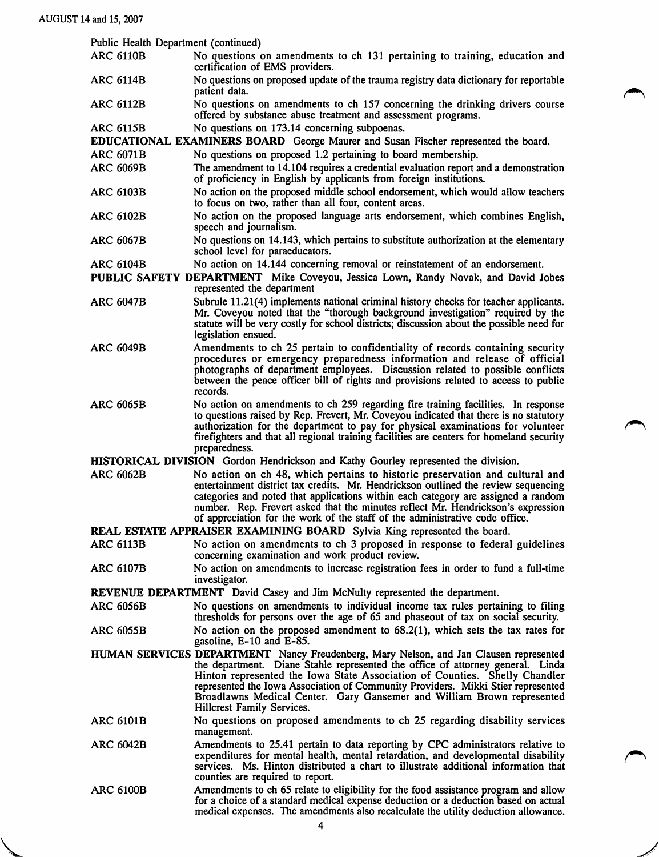| Public Health Department (continued)<br><b>ARC 6110B</b>                          |                                                                                                                                                                                                                                                                                                                                                                                                                                                   |  |
|-----------------------------------------------------------------------------------|---------------------------------------------------------------------------------------------------------------------------------------------------------------------------------------------------------------------------------------------------------------------------------------------------------------------------------------------------------------------------------------------------------------------------------------------------|--|
|                                                                                   | No questions on amendments to ch 131 pertaining to training, education and<br>certification of EMS providers.                                                                                                                                                                                                                                                                                                                                     |  |
| <b>ARC 6114B</b>                                                                  | No questions on proposed update of the trauma registry data dictionary for reportable<br>patient data.                                                                                                                                                                                                                                                                                                                                            |  |
| <b>ARC 6112B</b>                                                                  | No questions on amendments to ch 157 concerning the drinking drivers course<br>offered by substance abuse treatment and assessment programs.                                                                                                                                                                                                                                                                                                      |  |
| <b>ARC 6115B</b>                                                                  | No questions on 173.14 concerning subpoenas.                                                                                                                                                                                                                                                                                                                                                                                                      |  |
| <b>ARC 6071B</b>                                                                  | EDUCATIONAL EXAMINERS BOARD George Maurer and Susan Fischer represented the board.<br>No questions on proposed 1.2 pertaining to board membership.                                                                                                                                                                                                                                                                                                |  |
| <b>ARC 6069B</b>                                                                  | The amendment to 14.104 requires a credential evaluation report and a demonstration                                                                                                                                                                                                                                                                                                                                                               |  |
| <b>ARC 6103B</b>                                                                  | of proficiency in English by applicants from foreign institutions.<br>No action on the proposed middle school endorsement, which would allow teachers                                                                                                                                                                                                                                                                                             |  |
|                                                                                   | to focus on two, rather than all four, content areas.                                                                                                                                                                                                                                                                                                                                                                                             |  |
| <b>ARC 6102B</b>                                                                  | No action on the proposed language arts endorsement, which combines English,<br>speech and journalism.                                                                                                                                                                                                                                                                                                                                            |  |
| <b>ARC 6067B</b>                                                                  | No questions on 14.143, which pertains to substitute authorization at the elementary<br>school level for paraeducators.                                                                                                                                                                                                                                                                                                                           |  |
| <b>ARC 6104B</b>                                                                  | No action on 14.144 concerning removal or reinstatement of an endorsement.<br>PUBLIC SAFETY DEPARTMENT Mike Coveyou, Jessica Lown, Randy Novak, and David Jobes<br>represented the department                                                                                                                                                                                                                                                     |  |
| <b>ARC 6047B</b>                                                                  | Subrule 11.21(4) implements national criminal history checks for teacher applicants.<br>Mr. Coveyou noted that the "thorough background investigation" required by the<br>statute will be very costly for school districts; discussion about the possible need for<br>legislation ensued.                                                                                                                                                         |  |
| <b>ARC 6049B</b>                                                                  | Amendments to ch 25 pertain to confidentiality of records containing security<br>procedures or emergency preparedness information and release of official<br>photographs of department employees. Discussion related to possible conflicts<br>between the peace officer bill of rights and provisions related to access to public<br>records.                                                                                                     |  |
| <b>ARC 6065B</b>                                                                  | No action on amendments to ch 259 regarding fire training facilities. In response<br>to questions raised by Rep. Frevert, Mr. Coveyou indicated that there is no statutory<br>authorization for the department to pay for physical examinations for volunteer<br>fire fighters and that all regional training facilities are centers for homeland security<br>preparedness.                                                                       |  |
|                                                                                   | HISTORICAL DIVISION Gordon Hendrickson and Kathy Gourley represented the division.                                                                                                                                                                                                                                                                                                                                                                |  |
| <b>ARC 6062B</b>                                                                  | No action on ch 48, which pertains to historic preservation and cultural and<br>entertainment district tax credits. Mr. Hendrickson outlined the review sequencing<br>categories and noted that applications within each category are assigned a random<br>number. Rep. Frevert asked that the minutes reflect Mr. Hendrickson's expression<br>of appreciation for the work of the staff of the administrative code office.                       |  |
| REAL ESTATE APPRAISER EXAMINING BOARD Sylvia King represented the board.          |                                                                                                                                                                                                                                                                                                                                                                                                                                                   |  |
| <b>ARC 6113B</b>                                                                  | No action on amendments to ch 3 proposed in response to federal guidelines<br>concerning examination and work product review.                                                                                                                                                                                                                                                                                                                     |  |
| <b>ARC 6107B</b>                                                                  | No action on amendments to increase registration fees in order to fund a full-time<br>investigator.                                                                                                                                                                                                                                                                                                                                               |  |
| <b>REVENUE DEPARTMENT</b> David Casey and Jim McNulty represented the department. |                                                                                                                                                                                                                                                                                                                                                                                                                                                   |  |
| <b>ARC 6056B</b>                                                                  | No questions on amendments to individual income tax rules pertaining to filing<br>thresholds for persons over the age of 65 and phaseout of tax on social security.                                                                                                                                                                                                                                                                               |  |
| ARC 6055B                                                                         | No action on the proposed amendment to $68.2(1)$ , which sets the tax rates for<br>gasoline, E-10 and E-85.                                                                                                                                                                                                                                                                                                                                       |  |
|                                                                                   | HUMAN SERVICES DEPARTMENT Nancy Freudenberg, Mary Nelson, and Jan Clausen represented<br>the department. Diane Stahle represented the office of attorney general. Linda<br>Hinton represented the Iowa State Association of Counties. Shelly Chandler<br>represented the Iowa Association of Community Providers. Mikki Stier represented<br>Broadlawns Medical Center. Gary Gansemer and William Brown represented<br>Hillcrest Family Services. |  |
| <b>ARC 6101B</b>                                                                  | No questions on proposed amendments to ch 25 regarding disability services<br>management.                                                                                                                                                                                                                                                                                                                                                         |  |
| <b>ARC 6042B</b>                                                                  | Amendments to 25.41 pertain to data reporting by CPC administrators relative to<br>expenditures for mental health, mental retardation, and developmental disability<br>services. Ms. Hinton distributed a chart to illustrate additional information that<br>counties are required to report.                                                                                                                                                     |  |
| <b>ARC 6100B</b>                                                                  | Amendments to ch 65 relate to eligibility for the food assistance program and allow<br>for a choice of a standard medical expense deduction or a deduction based on actual<br>medical expenses. The amendments also recalculate the utility deduction allowance.                                                                                                                                                                                  |  |